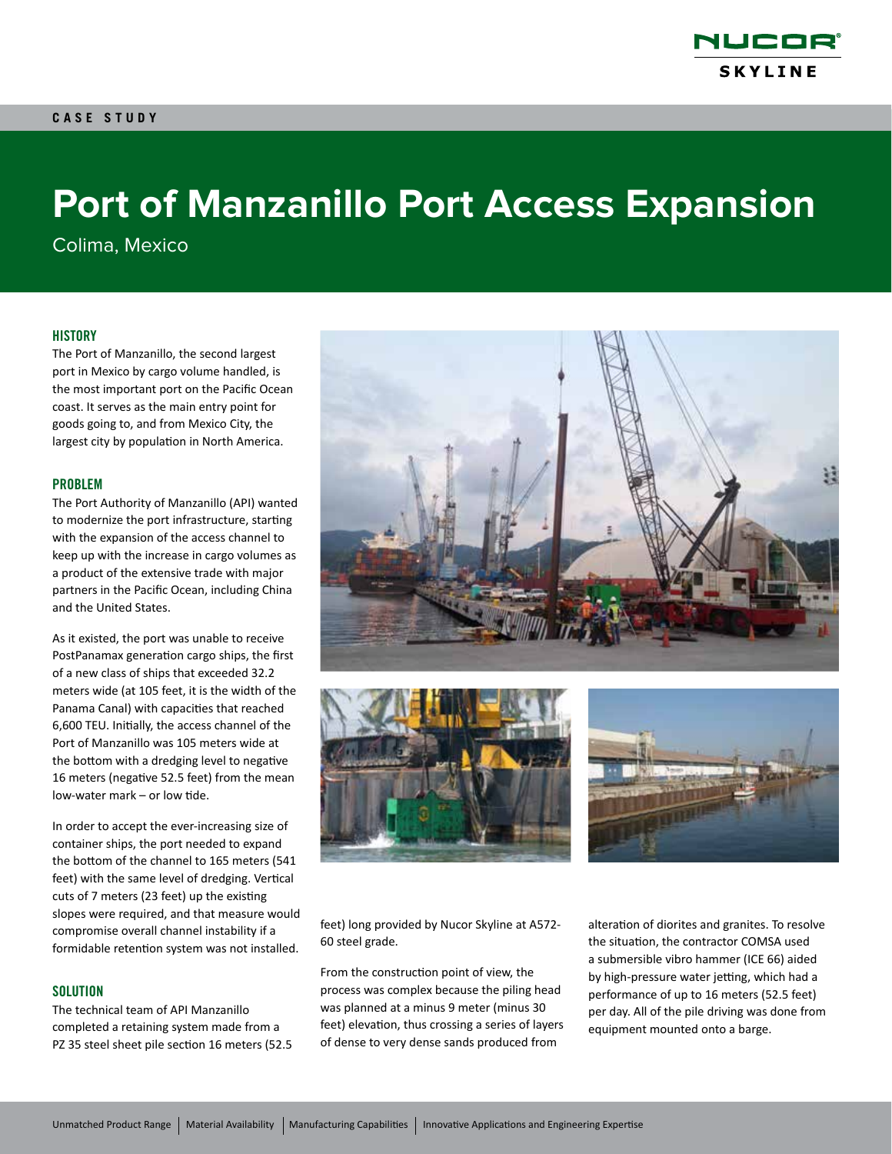

# **Port of Manzanillo Port Access Expansion**

Colima, Mexico

#### **HISTORY**

The Port of Manzanillo, the second largest port in Mexico by cargo volume handled, is the most important port on the Pacific Ocean coast. It serves as the main entry point for goods going to, and from Mexico City, the largest city by population in North America.

#### PROBLEM

The Port Authority of Manzanillo (API) wanted to modernize the port infrastructure, starting with the expansion of the access channel to keep up with the increase in cargo volumes as a product of the extensive trade with major partners in the Pacific Ocean, including China and the United States.

As it existed, the port was unable to receive PostPanamax generation cargo ships, the first of a new class of ships that exceeded 32.2 meters wide (at 105 feet, it is the width of the Panama Canal) with capacities that reached 6,600 TEU. Initially, the access channel of the Port of Manzanillo was 105 meters wide at the bottom with a dredging level to negative 16 meters (negative 52.5 feet) from the mean low-water mark – or low tide.

In order to accept the ever-increasing size of container ships, the port needed to expand the bottom of the channel to 165 meters (541 feet) with the same level of dredging. Vertical cuts of 7 meters (23 feet) up the existing slopes were required, and that measure would compromise overall channel instability if a formidable retention system was not installed.

#### **SOLUTION**

The technical team of API Manzanillo completed a retaining system made from a PZ 35 steel sheet pile section 16 meters (52.5







feet) long provided by Nucor Skyline at A572- 60 steel grade.

From the construction point of view, the process was complex because the piling head was planned at a minus 9 meter (minus 30 feet) elevation, thus crossing a series of layers of dense to very dense sands produced from

alteration of diorites and granites. To resolve the situation, the contractor COMSA used a submersible vibro hammer (ICE 66) aided by high-pressure water jetting, which had a performance of up to 16 meters (52.5 feet) per day. All of the pile driving was done from equipment mounted onto a barge.